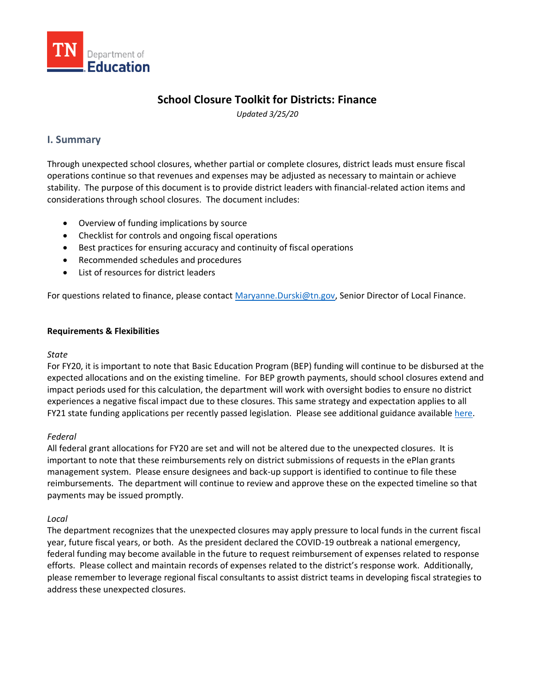

# **School Closure Toolkit for Districts: Finance**

*Updated 3/25/20* 

## **I. Summary**

 considerations through school closures. The document includes: Through unexpected school closures, whether partial or complete closures, district leads must ensure fiscal operations continue so that revenues and expenses may be adjusted as necessary to maintain or achieve stability. The purpose of this document is to provide district leaders with financial-related action items and

- Overview of funding implications by source
- Checklist for controls and ongoing fiscal operations
- Best practices for ensuring accuracy and continuity of fiscal operations
- Recommended schedules and procedures
- List of resources for district leaders

For questions related to finance, please contact [Maryanne.Durski@tn.gov,](mailto:Maryanne.Durski@tn.gov) Senior Director of Local Finance.

## **Requirements & Flexibilities**

### *State*

FY21 state funding applications per recently passed legislation. Please see additional guidance available [here.](https://www.tn.gov/content/dam/tn/education/health-&-safety/Closure%20Guidance%20School%20Finance_Update_3.21.2020.pdf) For FY20, it is important to note that Basic Education Program (BEP) funding will continue to be disbursed at the expected allocations and on the existing timeline. For BEP growth payments, should school closures extend and impact periods used for this calculation, the department will work with oversight bodies to ensure no district experiences a negative fiscal impact due to these closures. This same strategy and expectation applies to all

### *Federal*

 All federal grant allocations for FY20 are set and will not be altered due to the unexpected closures. It is management system. Please ensure designees and back-up support is identified to continue to file these payments may be issued promptly. important to note that these reimbursements rely on district submissions of requests in the ePlan grants reimbursements. The department will continue to review and approve these on the expected timeline so that

## *Local*

 year, future fiscal years, or both. As the president declared the COVID-19 outbreak a national emergency, The department recognizes that the unexpected closures may apply pressure to local funds in the current fiscal federal funding may become available in the future to request reimbursement of expenses related to response efforts. Please collect and maintain records of expenses related to the district's response work. Additionally, please remember to leverage regional fiscal consultants to assist district teams in developing fiscal strategies to address these unexpected closures.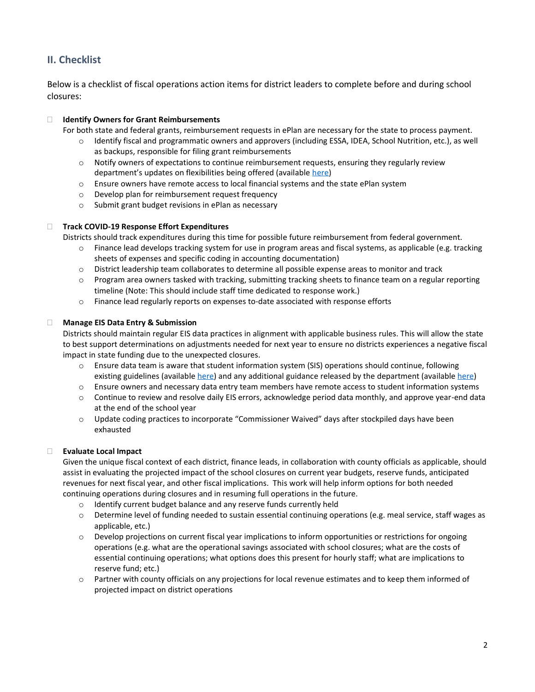## **II. Checklist**

Below is a checklist of fiscal operations action items for district leaders to complete before and during school closures:

### **Identify Owners for Grant Reimbursements**

For both state and federal grants, reimbursement requests in ePlan are necessary for the state to process payment.

- o Identify fiscal and programmatic owners and approvers (including ESSA, IDEA, School Nutrition, etc.), as well as backups, responsible for filing grant reimbursements
- o Notify owners of expectations to continue reimbursement requests, ensuring they regularly review department's updates on flexibilities being offered (available [here\)](https://www.tn.gov/education/health-and-safety/update-on-coronavirus.html)
- o Ensure owners have remote access to local financial systems and the state ePlan system
- o Develop plan for reimbursement request frequency
- o Submit grant budget revisions in ePlan as necessary

#### **Track COVID-19 Response Effort Expenditures**

Districts should track expenditures during this time for possible future reimbursement from federal government.

- $\circ$  Finance lead develops tracking system for use in program areas and fiscal systems, as applicable (e.g. tracking sheets of expenses and specific coding in accounting documentation)
- o District leadership team collaborates to determine all possible expense areas to monitor and track
- $\circ$  Program area owners tasked with tracking, submitting tracking sheets to finance team on a regular reporting timeline (Note: This should include staff time dedicated to response work.)
- o Finance lead regularly reports on expenses to-date associated with response efforts

#### **Manage EIS Data Entry & Submission**

Districts should maintain regular EIS data practices in alignment with applicable business rules. This will allow the state to best support determinations on adjustments needed for next year to ensure no districts experiences a negative fiscal impact in state funding due to the unexpected closures.

- o Ensure data team is aware that student information system (SIS) operations should continue, following existing guidelines (available [here\)](https://www.tn.gov/education/lea-operations/education-information-system-eis.html) and any additional guidance released by the department (availabl[e here\)](https://www.tn.gov/education/health-and-safety/update-on-coronavirus.html)
- $\circ$  Ensure owners and necessary data entry team members have remote access to student information systems
- o Continue to review and resolve daily EIS errors, acknowledge period data monthly, and approve year-end data at the end of the school year
- o Update coding practices to incorporate "Commissioner Waived" days after stockpiled days have been exhausted

#### **Evaluate Local Impact**

Given the unique fiscal context of each district, finance leads, in collaboration with county officials as applicable, should assist in evaluating the projected impact of the school closures on current year budgets, reserve funds, anticipated revenues for next fiscal year, and other fiscal implications. This work will help inform options for both needed continuing operations during closures and in resuming full operations in the future.

- o Identify current budget balance and any reserve funds currently held
- o Determine level of funding needed to sustain essential continuing operations (e.g. meal service, staff wages as applicable, etc.)
- o Develop projections on current fiscal year implications to inform opportunities or restrictions for ongoing operations (e.g. what are the operational savings associated with school closures; what are the costs of essential continuing operations; what options does this present for hourly staff; what are implications to reserve fund; etc.)
- $\circ$  Partner with county officials on any projections for local revenue estimates and to keep them informed of projected impact on district operations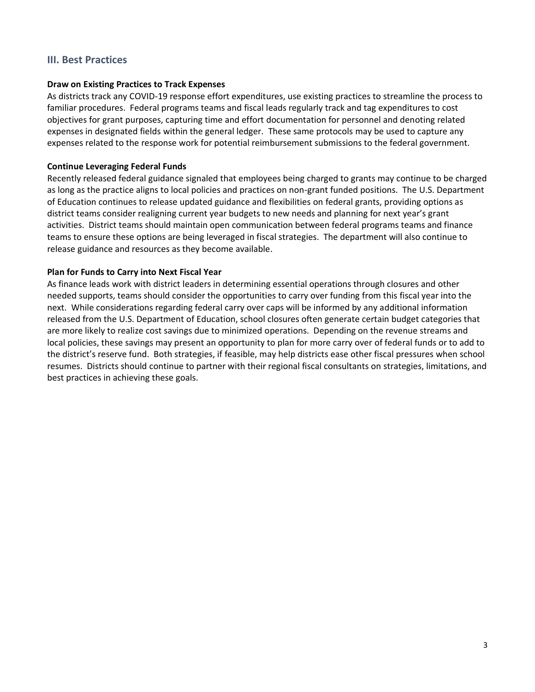## **III. Best Practices**

## **Draw on Existing Practices to Track Expenses**

As districts track any COVID-19 response effort expenditures, use existing practices to streamline the process to familiar procedures. Federal programs teams and fiscal leads regularly track and tag expenditures to cost objectives for grant purposes, capturing time and effort documentation for personnel and denoting related expenses in designated fields within the general ledger. These same protocols may be used to capture any expenses related to the response work for potential reimbursement submissions to the federal government.

## **Continue Leveraging Federal Funds**

 as long as the practice aligns to local policies and practices on non-grant funded positions. The U.S. Department Recently released federal guidance signaled that employees being charged to grants may continue to be charged of Education continues to release updated guidance and flexibilities on federal grants, providing options as district teams consider realigning current year budgets to new needs and planning for next year's grant activities. District teams should maintain open communication between federal programs teams and finance teams to ensure these options are being leveraged in fiscal strategies. The department will also continue to release guidance and resources as they become available.

## **Plan for Funds to Carry into Next Fiscal Year**

 As finance leads work with district leaders in determining essential operations through closures and other needed supports, teams should consider the opportunities to carry over funding from this fiscal year into the next. While considerations regarding federal carry over caps will be informed by any additional information released from the U.S. Department of Education, school closures often generate certain budget categories that are more likely to realize cost savings due to minimized operations. Depending on the revenue streams and local policies, these savings may present an opportunity to plan for more carry over of federal funds or to add to the district's reserve fund. Both strategies, if feasible, may help districts ease other fiscal pressures when school resumes. Districts should continue to partner with their regional fiscal consultants on strategies, limitations, and best practices in achieving these goals.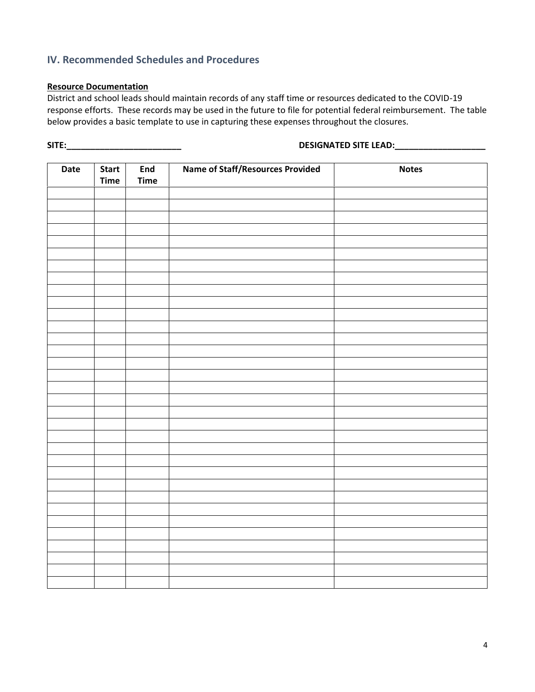## **IV. Recommended Schedules and Procedures**

### **Resource Documentation**

District and school leads should maintain records of any staff time or resources dedicated to the COVID-19 response efforts. These records may be used in the future to file for potential federal reimbursement. The table below provides a basic template to use in capturing these expenses throughout the closures.

**SITE:\_\_\_\_\_\_\_\_\_\_\_\_\_\_\_\_\_\_\_\_\_\_\_\_ DESIGNATED SITE LEAD:\_\_\_\_\_\_\_\_\_\_\_\_\_\_\_\_\_\_\_** 

| Date | <b>Start</b><br><b>Time</b> | End<br><b>Time</b> | Name of Staff/Resources Provided | <b>Notes</b> |
|------|-----------------------------|--------------------|----------------------------------|--------------|
|      |                             |                    |                                  |              |
|      |                             |                    |                                  |              |
|      |                             |                    |                                  |              |
|      |                             |                    |                                  |              |
|      |                             |                    |                                  |              |
|      |                             |                    |                                  |              |
|      |                             |                    |                                  |              |
|      |                             |                    |                                  |              |
|      |                             |                    |                                  |              |
|      |                             |                    |                                  |              |
|      |                             |                    |                                  |              |
|      |                             |                    |                                  |              |
|      |                             |                    |                                  |              |
|      |                             |                    |                                  |              |
|      |                             |                    |                                  |              |
|      |                             |                    |                                  |              |
|      |                             |                    |                                  |              |
|      |                             |                    |                                  |              |
|      |                             |                    |                                  |              |
|      |                             |                    |                                  |              |
|      |                             |                    |                                  |              |
|      |                             |                    |                                  |              |
|      |                             |                    |                                  |              |
|      |                             |                    |                                  |              |
|      |                             |                    |                                  |              |
|      |                             |                    |                                  |              |
|      |                             |                    |                                  |              |
|      |                             |                    |                                  |              |
|      |                             |                    |                                  |              |
|      |                             |                    |                                  |              |
|      |                             |                    |                                  |              |
|      |                             |                    |                                  |              |
|      |                             |                    |                                  |              |